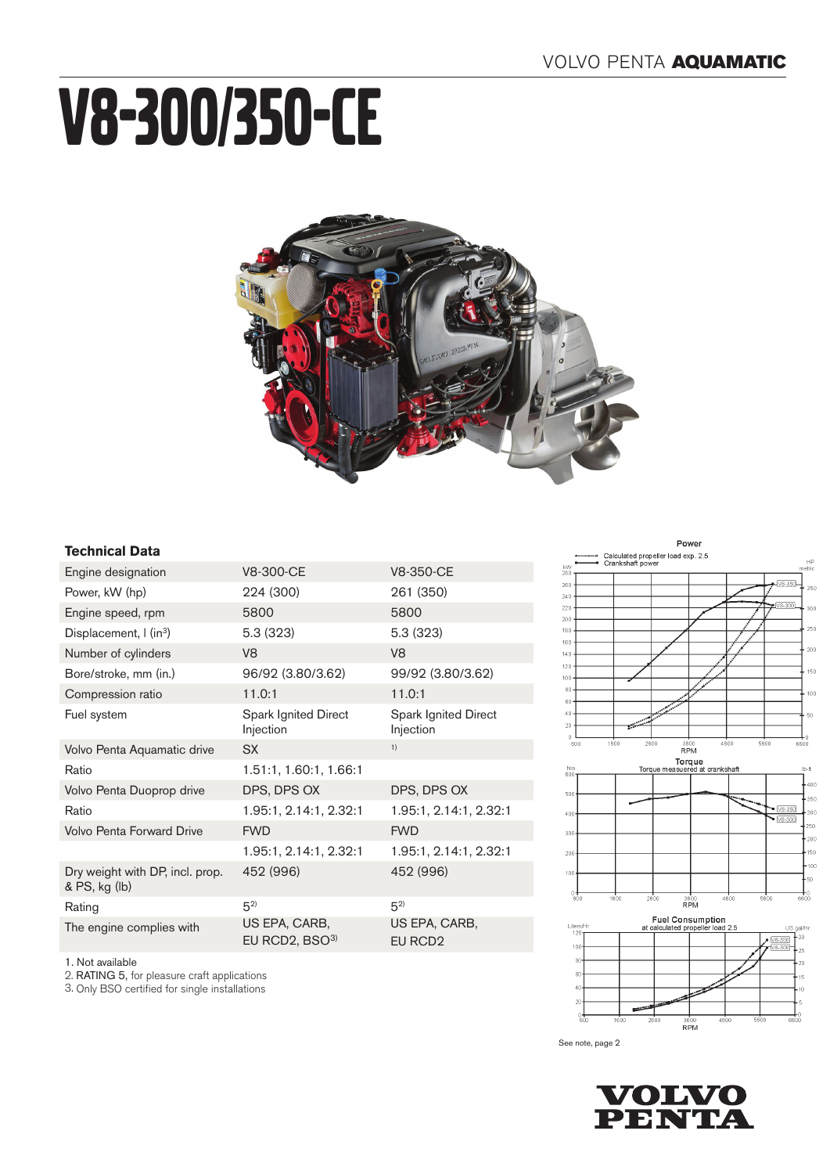# V8-300/350-CE



### **Technical Data**

1. Not available

2. RATING 5, for pleasure craft applications

3. Only BSO certified for single installations

| Engine designation                               | V8-300-CE                         | V8-350-CE                                |
|--------------------------------------------------|-----------------------------------|------------------------------------------|
| Power, kW (hp)                                   | 224 (300)                         | 261 (350)                                |
| Engine speed, rpm                                | 5800                              | 5800                                     |
| Displacement, $\int$ (in <sup>3</sup> )          | 5.3(323)                          | 5.3(323)                                 |
| Number of cylinders                              | V <sub>8</sub>                    | V <sub>8</sub>                           |
| Bore/stroke, mm (in.)                            | 96/92 (3.80/3.62)                 | 99/92 (3.80/3.62)                        |
| Compression ratio                                | 11.0:1                            | 11.0:1                                   |
| Fuel system                                      | Spark Ignited Direct<br>Injection | <b>Spark Ignited Direct</b><br>Injection |
| Volvo Penta Aquamatic drive                      | <b>SX</b>                         | 1)                                       |
| Ratio                                            | 1.51:1, 1.60:1, 1.66:1            |                                          |
| Volvo Penta Duoprop drive                        | DPS, DPS OX                       | DPS, DPS OX                              |
| Ratio                                            | 1.95:1, 2.14:1, 2.32:1            | 1.95:1, 2.14:1, 2.32:1                   |
| Volvo Penta Forward Drive                        | <b>FWD</b>                        | <b>FWD</b>                               |
|                                                  | 1.95:1, 2.14:1, 2.32:1            | 1.95:1, 2.14:1, 2.32:1                   |
| Dry weight with DP, incl. prop.<br>& PS, kg (lb) | 452 (996)                         | 452 (996)                                |
| Rating                                           | $5^{2}$                           | $5^{2}$                                  |
| The engine complies with                         | US EPA, CARB,<br>EU RCD2, BSO3)   | US EPA, CARB,<br>EU RCD <sub>2</sub>     |



Power



See note, page 2